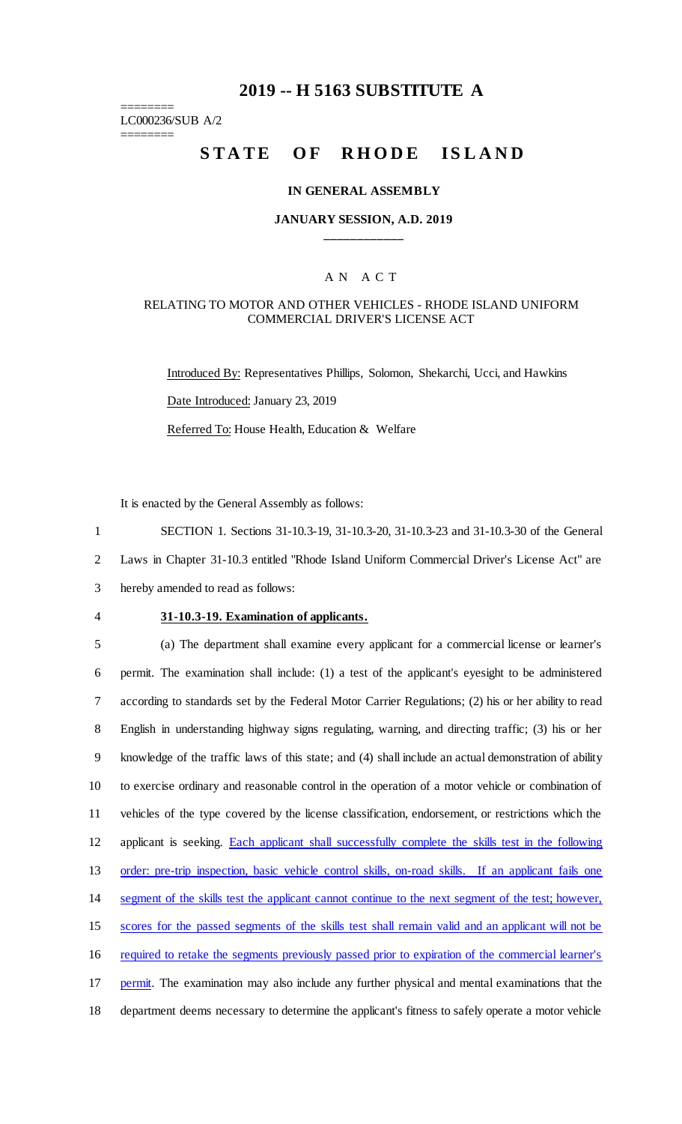# **2019 -- H 5163 SUBSTITUTE A**

======== LC000236/SUB A/2

========

# STATE OF RHODE ISLAND

### **IN GENERAL ASSEMBLY**

### **JANUARY SESSION, A.D. 2019 \_\_\_\_\_\_\_\_\_\_\_\_**

### A N A C T

### RELATING TO MOTOR AND OTHER VEHICLES - RHODE ISLAND UNIFORM COMMERCIAL DRIVER'S LICENSE ACT

Introduced By: Representatives Phillips, Solomon, Shekarchi, Ucci, and Hawkins Date Introduced: January 23, 2019 Referred To: House Health, Education & Welfare

It is enacted by the General Assembly as follows:

1 SECTION 1. Sections 31-10.3-19, 31-10.3-20, 31-10.3-23 and 31-10.3-30 of the General

2 Laws in Chapter 31-10.3 entitled "Rhode Island Uniform Commercial Driver's License Act" are

3 hereby amended to read as follows:

#### 4 **31-10.3-19. Examination of applicants.**

 (a) The department shall examine every applicant for a commercial license or learner's permit. The examination shall include: (1) a test of the applicant's eyesight to be administered according to standards set by the Federal Motor Carrier Regulations; (2) his or her ability to read English in understanding highway signs regulating, warning, and directing traffic; (3) his or her knowledge of the traffic laws of this state; and (4) shall include an actual demonstration of ability to exercise ordinary and reasonable control in the operation of a motor vehicle or combination of vehicles of the type covered by the license classification, endorsement, or restrictions which the applicant is seeking. Each applicant shall successfully complete the skills test in the following order: pre-trip inspection, basic vehicle control skills, on-road skills. If an applicant fails one segment of the skills test the applicant cannot continue to the next segment of the test; however, scores for the passed segments of the skills test shall remain valid and an applicant will not be required to retake the segments previously passed prior to expiration of the commercial learner's 17 permit. The examination may also include any further physical and mental examinations that the department deems necessary to determine the applicant's fitness to safely operate a motor vehicle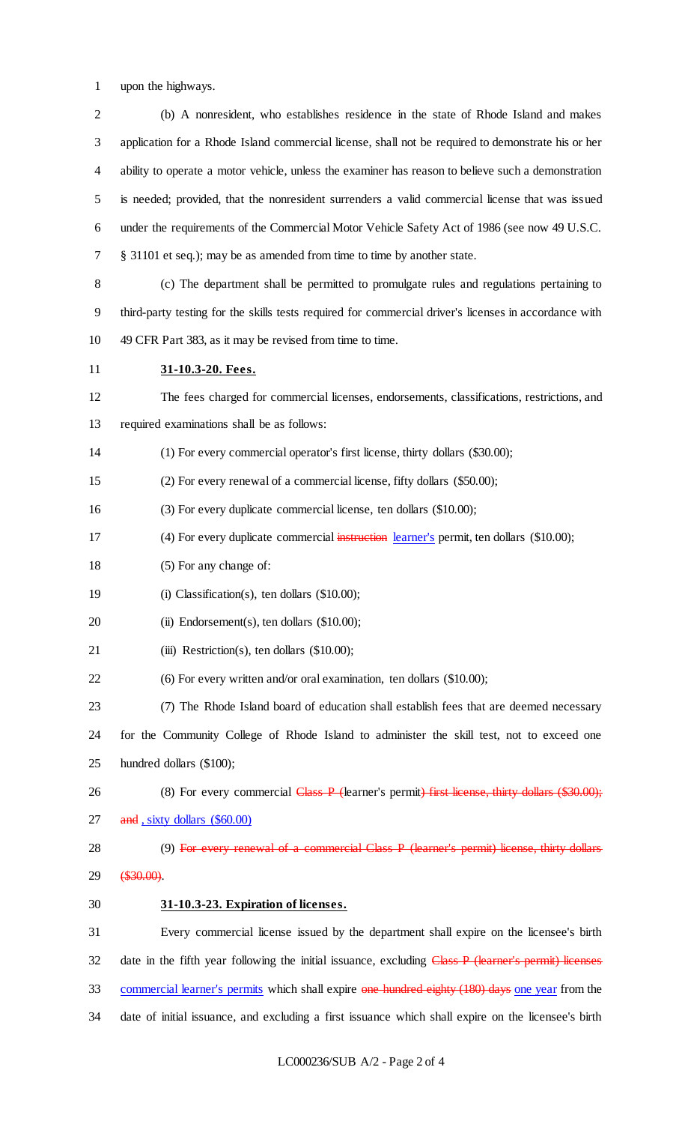upon the highways.

| $\mathbf{2}$   | (b) A nonresident, who establishes residence in the state of Rhode Island and makes                   |
|----------------|-------------------------------------------------------------------------------------------------------|
| 3              | application for a Rhode Island commercial license, shall not be required to demonstrate his or her    |
| $\overline{4}$ | ability to operate a motor vehicle, unless the examiner has reason to believe such a demonstration    |
| 5              | is needed; provided, that the nonresident surrenders a valid commercial license that was issued       |
| 6              | under the requirements of the Commercial Motor Vehicle Safety Act of 1986 (see now 49 U.S.C.          |
| 7              | § 31101 et seq.); may be as amended from time to time by another state.                               |
| $8\,$          | (c) The department shall be permitted to promulgate rules and regulations pertaining to               |
| $\overline{9}$ | third-party testing for the skills tests required for commercial driver's licenses in accordance with |
| 10             | 49 CFR Part 383, as it may be revised from time to time.                                              |
| 11             | 31-10.3-20. Fees.                                                                                     |
| 12             | The fees charged for commercial licenses, endorsements, classifications, restrictions, and            |
| 13             | required examinations shall be as follows:                                                            |
| 14             | (1) For every commercial operator's first license, thirty dollars (\$30.00);                          |
| 15             | (2) For every renewal of a commercial license, fifty dollars (\$50.00);                               |
| 16             | (3) For every duplicate commercial license, ten dollars (\$10.00);                                    |
| 17             | (4) For every duplicate commercial instruction learner's permit, ten dollars (\$10.00);               |
| 18             | (5) For any change of:                                                                                |
| 19             | (i) Classification(s), ten dollars $(\$10.00)$ ;                                                      |
| 20             | (ii) Endorsement(s), ten dollars $(\$10.00)$ ;                                                        |
| 21             | (iii) Restriction(s), ten dollars $(\$10.00)$ ;                                                       |
| 22             | (6) For every written and/or oral examination, ten dollars (\$10.00);                                 |
| 23             | (7) The Rhode Island board of education shall establish fees that are deemed necessary                |
| 24             | for the Community College of Rhode Island to administer the skill test, not to exceed one             |
| 25             | hundred dollars (\$100);                                                                              |
| 26             | (8) For every commercial Class P (learner's permit) first license, thirty dollars (\$30.00);          |
| 27             | and, sixty dollars (\$60.00)                                                                          |
| 28             | (9) For every renewal of a commercial Class P (learner's permit) license, thirty dollars              |
| 29             | \$30.00.                                                                                              |
| 30             | 31-10.3-23. Expiration of licenses.                                                                   |
| 31             | Every commercial license issued by the department shall expire on the licensee's birth                |
| 32             | date in the fifth year following the initial issuance, excluding Class P (learner's permit) licenses  |
| 33             | commercial learner's permits which shall expire one hundred eighty (180) days one year from the       |
|                |                                                                                                       |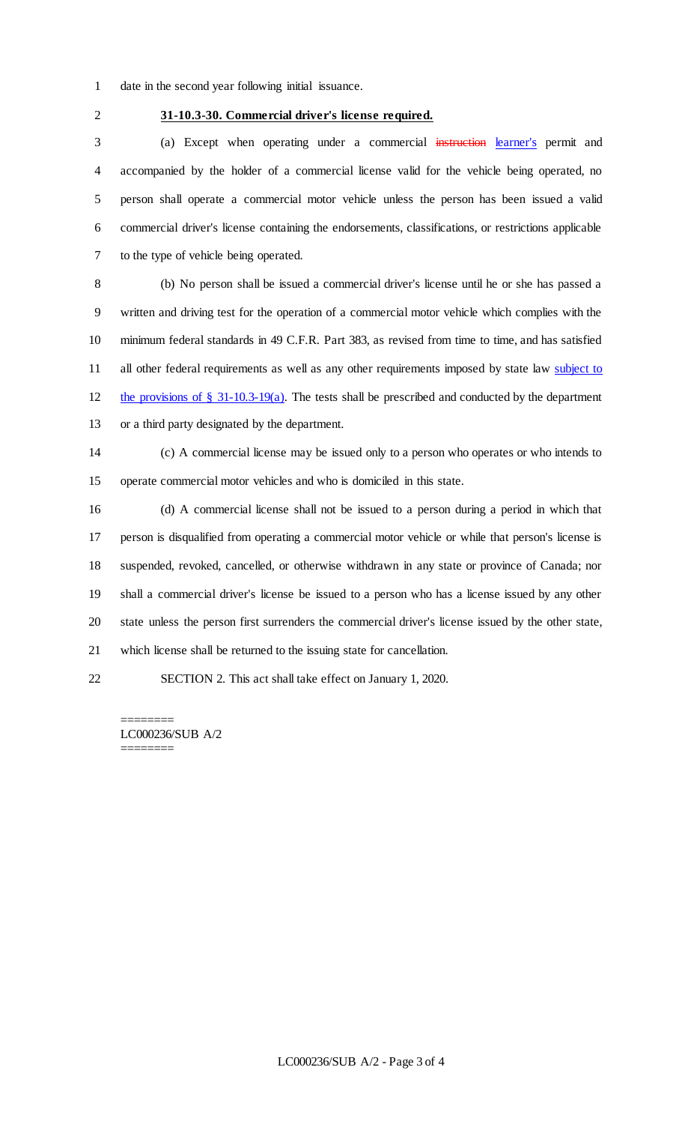- date in the second year following initial issuance.
- 

# **31-10.3-30. Commercial driver's license required.**

3 (a) Except when operating under a commercial instruction learner's permit and accompanied by the holder of a commercial license valid for the vehicle being operated, no person shall operate a commercial motor vehicle unless the person has been issued a valid commercial driver's license containing the endorsements, classifications, or restrictions applicable to the type of vehicle being operated.

 (b) No person shall be issued a commercial driver's license until he or she has passed a written and driving test for the operation of a commercial motor vehicle which complies with the minimum federal standards in 49 C.F.R. Part 383, as revised from time to time, and has satisfied 11 all other federal requirements as well as any other requirements imposed by state law subject to the provisions of § 31-10.3-19(a). The tests shall be prescribed and conducted by the department or a third party designated by the department.

 (c) A commercial license may be issued only to a person who operates or who intends to operate commercial motor vehicles and who is domiciled in this state.

 (d) A commercial license shall not be issued to a person during a period in which that person is disqualified from operating a commercial motor vehicle or while that person's license is suspended, revoked, cancelled, or otherwise withdrawn in any state or province of Canada; nor shall a commercial driver's license be issued to a person who has a license issued by any other state unless the person first surrenders the commercial driver's license issued by the other state, which license shall be returned to the issuing state for cancellation.

SECTION 2. This act shall take effect on January 1, 2020.

======== LC000236/SUB A/2 ========